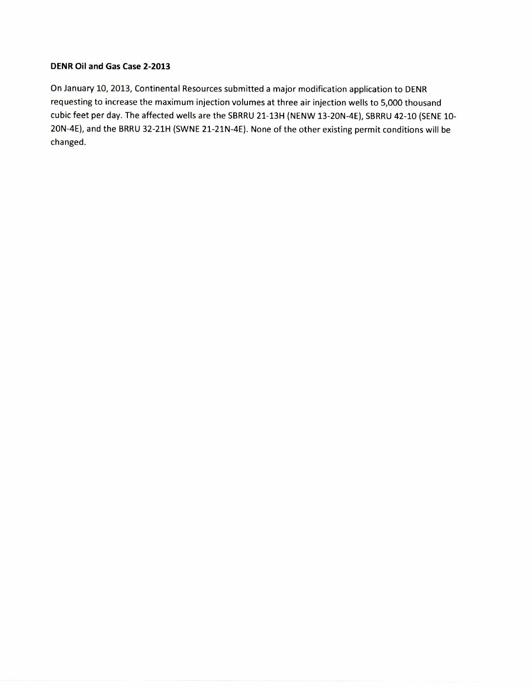## **DENR Oil and Gas Case 2-2013**

On January 10, 2013, Continental Resources submitted a major modification application to DENR requesting to increase the maximum injection volumes at three air injection wells to 5,000 thousand cubic feet per day. The affected wells are the SBRRU 21-13H (NENW 13-20N-4E), SBRRU 42-10 (SENE 10- 20N-4E), and the BRRU 32-21H (SWNE 21-21N-4E). None of the other existing permit conditions will be changed.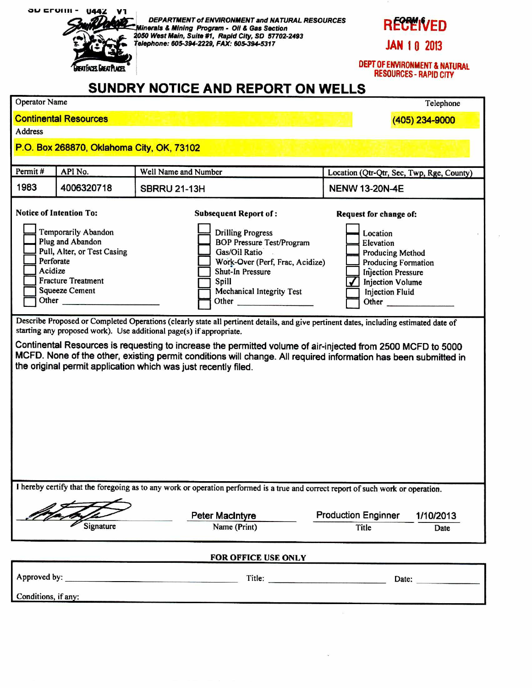

**DEPARTMENT of ENVIRONMENT and NATURAL RESOURCES Minerals & Mining Program - 011 & Gas Section** <br> **Altinerals & Mining Program - 011 & Gas Section**<br>
2050 West Main, Suite #1, Rapid City, SD 57702-2493 **telephone: 605-394-2229, FAX: 605-394-5317 JAN 1 0 2013** 

**DEPT OF ENVIRONMENT & NATURAL RESOURCES - RAPID CITY** 

|                                                                                                                                                                                                                                                                                                                                                                                                                                                                                                                                                                                                                                                                                                                                                                                                                                                                                                                                                                                                                                                                                                                                                                 |                              | SUNDRY NOTICE AND REPORT ON WELLS |                                           |  |  |  |  |
|-----------------------------------------------------------------------------------------------------------------------------------------------------------------------------------------------------------------------------------------------------------------------------------------------------------------------------------------------------------------------------------------------------------------------------------------------------------------------------------------------------------------------------------------------------------------------------------------------------------------------------------------------------------------------------------------------------------------------------------------------------------------------------------------------------------------------------------------------------------------------------------------------------------------------------------------------------------------------------------------------------------------------------------------------------------------------------------------------------------------------------------------------------------------|------------------------------|-----------------------------------|-------------------------------------------|--|--|--|--|
| <b>Operator Name</b><br>Telephone                                                                                                                                                                                                                                                                                                                                                                                                                                                                                                                                                                                                                                                                                                                                                                                                                                                                                                                                                                                                                                                                                                                               |                              |                                   |                                           |  |  |  |  |
|                                                                                                                                                                                                                                                                                                                                                                                                                                                                                                                                                                                                                                                                                                                                                                                                                                                                                                                                                                                                                                                                                                                                                                 | <b>Continental Resources</b> | (405) 234-9000                    |                                           |  |  |  |  |
| <b>Address</b>                                                                                                                                                                                                                                                                                                                                                                                                                                                                                                                                                                                                                                                                                                                                                                                                                                                                                                                                                                                                                                                                                                                                                  |                              |                                   |                                           |  |  |  |  |
| P.O. Box 268870, Oklahoma City, OK, 73102                                                                                                                                                                                                                                                                                                                                                                                                                                                                                                                                                                                                                                                                                                                                                                                                                                                                                                                                                                                                                                                                                                                       |                              |                                   |                                           |  |  |  |  |
| Permit#                                                                                                                                                                                                                                                                                                                                                                                                                                                                                                                                                                                                                                                                                                                                                                                                                                                                                                                                                                                                                                                                                                                                                         | API No.                      | Well Name and Number              | Location (Qtr-Qtr, Sec, Twp, Rge, County) |  |  |  |  |
| 1983                                                                                                                                                                                                                                                                                                                                                                                                                                                                                                                                                                                                                                                                                                                                                                                                                                                                                                                                                                                                                                                                                                                                                            | 4006320718                   | <b>SBRRU 21-13H</b>               | <b>NENW 13-20N-4E</b>                     |  |  |  |  |
| <b>Notice of Intention To:</b><br><b>Subsequent Report of:</b><br>Request for change of:<br>Temporarily Abandon<br><b>Drilling Progress</b><br>Location<br>Plug and Abandon<br><b>BOP Pressure Test/Program</b><br>Elevation<br>Pull, Alter, or Test Casing<br>Gas/Oil Ratio<br><b>Producing Method</b><br>Perforate<br>Work-Over (Perf, Frac, Acidize)<br><b>Producing Formation</b><br>Acidize<br><b>Shut-In Pressure</b><br><b>Injection Pressure</b><br><b>Fracture Treatment</b><br>Spill<br><b>Injection Volume</b><br><b>Squeeze Cement</b><br><b>Mechanical Integrity Test</b><br><b>Injection Fluid</b><br>Other<br>Other<br>Other<br>Describe Proposed or Completed Operations (clearly state all pertinent details, and give pertinent dates, including estimated date of<br>starting any proposed work). Use additional page(s) if appropriate.<br>Continental Resources is requesting to increase the permitted volume of air-injected from 2500 MCFD to 5000<br>MCFD. None of the other, existing permit conditions will change. All required information has been submitted in<br>the original permit application which was just recently filed. |                              |                                   |                                           |  |  |  |  |
| I hereby certify that the foregoing as to any work or operation performed is a true and correct report of such work or operation.                                                                                                                                                                                                                                                                                                                                                                                                                                                                                                                                                                                                                                                                                                                                                                                                                                                                                                                                                                                                                               |                              |                                   |                                           |  |  |  |  |
|                                                                                                                                                                                                                                                                                                                                                                                                                                                                                                                                                                                                                                                                                                                                                                                                                                                                                                                                                                                                                                                                                                                                                                 |                              | <b>Peter MacIntyre</b>            | <b>Production Enginner</b><br>1/10/2013   |  |  |  |  |
|                                                                                                                                                                                                                                                                                                                                                                                                                                                                                                                                                                                                                                                                                                                                                                                                                                                                                                                                                                                                                                                                                                                                                                 | Signature                    | Name (Print)                      | Title<br>Date                             |  |  |  |  |
| FOR OFFICE USE ONLY                                                                                                                                                                                                                                                                                                                                                                                                                                                                                                                                                                                                                                                                                                                                                                                                                                                                                                                                                                                                                                                                                                                                             |                              |                                   |                                           |  |  |  |  |
|                                                                                                                                                                                                                                                                                                                                                                                                                                                                                                                                                                                                                                                                                                                                                                                                                                                                                                                                                                                                                                                                                                                                                                 |                              | Title:                            | Date:                                     |  |  |  |  |
| Conditions, if any:                                                                                                                                                                                                                                                                                                                                                                                                                                                                                                                                                                                                                                                                                                                                                                                                                                                                                                                                                                                                                                                                                                                                             |                              |                                   |                                           |  |  |  |  |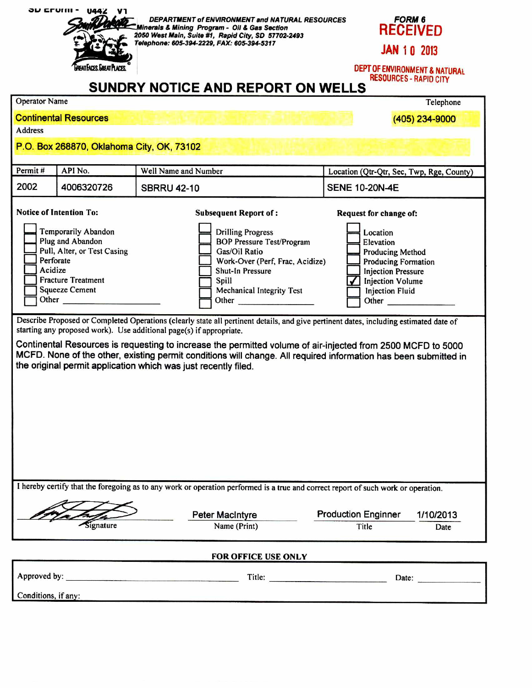| JU EFUIII -                                                 | <b>U442</b><br>REAT FACES. GREAT PLACE                                                                                                                                               | DEPARTMENT of ENVIRONMENT and NATURAL RESOURCES<br>Minerals & Mining Program - Oil & Gas Section<br>2050 West Main, Suite #1, Rapid City, SD 57702-2493<br>Telephone: 605-394-2229, FAX: 605-394-5317<br><b>SUNDRY NOTICE AND REPORT ON WELLS</b>                                                                                                                                                                                                                                                                | <b>FORM 6</b><br><b>RECEIVED</b><br><b>JAN 10 2013</b><br>DEPT OF ENVIRONMENT & NATURAL<br><b>RESOURCES - RAPID CITY</b>                                                                                                                                                                                                                                                                                                           |  |  |  |
|-------------------------------------------------------------|--------------------------------------------------------------------------------------------------------------------------------------------------------------------------------------|------------------------------------------------------------------------------------------------------------------------------------------------------------------------------------------------------------------------------------------------------------------------------------------------------------------------------------------------------------------------------------------------------------------------------------------------------------------------------------------------------------------|------------------------------------------------------------------------------------------------------------------------------------------------------------------------------------------------------------------------------------------------------------------------------------------------------------------------------------------------------------------------------------------------------------------------------------|--|--|--|
| <b>Operator Name</b>                                        |                                                                                                                                                                                      |                                                                                                                                                                                                                                                                                                                                                                                                                                                                                                                  | Telephone                                                                                                                                                                                                                                                                                                                                                                                                                          |  |  |  |
|                                                             | <b>Continental Resources</b>                                                                                                                                                         |                                                                                                                                                                                                                                                                                                                                                                                                                                                                                                                  | (405) 234-9000                                                                                                                                                                                                                                                                                                                                                                                                                     |  |  |  |
| <b>Address</b><br>P.O. Box 268870, Oklahoma City, OK, 73102 |                                                                                                                                                                                      |                                                                                                                                                                                                                                                                                                                                                                                                                                                                                                                  |                                                                                                                                                                                                                                                                                                                                                                                                                                    |  |  |  |
| Permit#                                                     | API No.                                                                                                                                                                              | Well Name and Number                                                                                                                                                                                                                                                                                                                                                                                                                                                                                             | Location (Qtr-Qtr, Sec, Twp, Rge, County)                                                                                                                                                                                                                                                                                                                                                                                          |  |  |  |
| 2002                                                        | 4006320726                                                                                                                                                                           | <b>SBRRU 42-10</b>                                                                                                                                                                                                                                                                                                                                                                                                                                                                                               | <b>SENE 10-20N-4E</b>                                                                                                                                                                                                                                                                                                                                                                                                              |  |  |  |
| Acidize                                                     | <b>Notice of Intention To:</b><br>Temporarily Abandon<br>Plug and Abandon<br>Pull, Alter, or Test Casing<br>Perforate<br><b>Fracture Treatment</b><br><b>Squeeze Cement</b><br>Other | <b>Subsequent Report of:</b><br><b>Drilling Progress</b><br><b>BOP Pressure Test/Program</b><br>Gas/Oil Ratio<br>Work-Over (Perf, Frac, Acidize)<br>Shut-In Pressure<br>Spill<br>Mechanical Integrity Test<br>Other                                                                                                                                                                                                                                                                                              | Request for change of:<br>Location<br>Elevation<br><b>Producing Method</b><br><b>Producing Formation</b><br><b>Injection Pressure</b><br><b>Injection Volume</b><br><b>Injection Fluid</b><br>Other <b>Communist Communist Communist Communist Communist Communist Communist Communist Communist Communist Communist Communist Communist Communist Communist Communist Communist Communist Communist Communist Communist Commu</b> |  |  |  |
|                                                             |                                                                                                                                                                                      | Describe Proposed or Completed Operations (clearly state all pertinent details, and give pertinent dates, including estimated date of<br>starting any proposed work). Use additional page(s) if appropriate.<br>Continental Resources is requesting to increase the permitted volume of air-injected from 2500 MCFD to 5000<br>MCFD. None of the other, existing permit conditions will change. All required information has been submitted in<br>the original permit application which was just recently filed. |                                                                                                                                                                                                                                                                                                                                                                                                                                    |  |  |  |

I hereby certify that the foregoing as to any work or operation performed is a true and correct report of such work or operation.

Peter MacIntyre Production Enginner 1/10/2013 Signature Name (Print) Title Date **FOR OFFICE USE ONLY**  Approved by: Title: Date:

Conditions, if any: